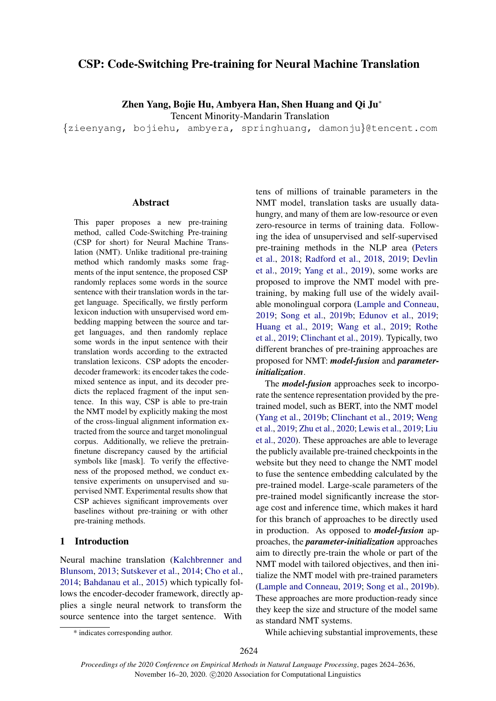# CSP: Code-Switching Pre-training for Neural Machine Translation

Zhen Yang, Bojie Hu, Ambyera Han, Shen Huang and Qi Ju<sup>∗</sup>

Tencent Minority-Mandarin Translation

{zieenyang, bojiehu, ambyera, springhuang, damonju}@tencent.com

#### Abstract

This paper proposes a new pre-training method, called Code-Switching Pre-training (CSP for short) for Neural Machine Translation (NMT). Unlike traditional pre-training method which randomly masks some fragments of the input sentence, the proposed CSP randomly replaces some words in the source sentence with their translation words in the target language. Specifically, we firstly perform lexicon induction with unsupervised word embedding mapping between the source and target languages, and then randomly replace some words in the input sentence with their translation words according to the extracted translation lexicons. CSP adopts the encoderdecoder framework: its encoder takes the codemixed sentence as input, and its decoder predicts the replaced fragment of the input sentence. In this way, CSP is able to pre-train the NMT model by explicitly making the most of the cross-lingual alignment information extracted from the source and target monolingual corpus. Additionally, we relieve the pretrainfinetune discrepancy caused by the artificial symbols like [mask]. To verify the effectiveness of the proposed method, we conduct extensive experiments on unsupervised and supervised NMT. Experimental results show that CSP achieves significant improvements over baselines without pre-training or with other pre-training methods.

# 1 Introduction

Neural machine translation [\(Kalchbrenner and](#page-8-0) [Blunsom,](#page-8-0) [2013;](#page-8-0) [Sutskever et al.,](#page-9-0) [2014;](#page-9-0) [Cho et al.,](#page-8-1) [2014;](#page-8-1) [Bahdanau et al.,](#page-8-2) [2015\)](#page-8-2) which typically follows the encoder-decoder framework, directly applies a single neural network to transform the source sentence into the target sentence. With

tens of millions of trainable parameters in the NMT model, translation tasks are usually datahungry, and many of them are low-resource or even zero-resource in terms of training data. Following the idea of unsupervised and self-supervised pre-training methods in the NLP area [\(Peters](#page-9-1) [et al.,](#page-9-1) [2018;](#page-9-1) [Radford et al.,](#page-9-2) [2018,](#page-9-2) [2019;](#page-9-3) [Devlin](#page-8-3) [et al.,](#page-8-3) [2019;](#page-8-3) [Yang et al.,](#page-10-0) [2019\)](#page-10-0), some works are proposed to improve the NMT model with pretraining, by making full use of the widely available monolingual corpora [\(Lample and Conneau,](#page-8-4) [2019;](#page-8-4) [Song et al.,](#page-9-4) [2019b;](#page-9-4) [Edunov et al.,](#page-8-5) [2019;](#page-8-5) [Huang et al.,](#page-8-6) [2019;](#page-8-6) [Wang et al.,](#page-9-5) [2019;](#page-9-5) [Rothe](#page-9-6) [et al.,](#page-9-6) [2019;](#page-9-6) [Clinchant et al.,](#page-8-7) [2019\)](#page-8-7). Typically, two different branches of pre-training approaches are proposed for NMT: *model-fusion* and *parameterinitialization*.

The *model-fusion* approaches seek to incorporate the sentence representation provided by the pretrained model, such as BERT, into the NMT model [\(Yang et al.,](#page-10-1) [2019b;](#page-10-1) [Clinchant et al.,](#page-8-7) [2019;](#page-8-7) [Weng](#page-10-2) [et al.,](#page-10-2) [2019;](#page-10-2) [Zhu et al.,](#page-10-3) [2020;](#page-10-3) [Lewis et al.,](#page-9-7) [2019;](#page-9-7) [Liu](#page-9-8) [et al.,](#page-9-8) [2020\)](#page-9-8). These approaches are able to leverage the publicly available pre-trained checkpoints in the website but they need to change the NMT model to fuse the sentence embedding calculated by the pre-trained model. Large-scale parameters of the pre-trained model significantly increase the storage cost and inference time, which makes it hard for this branch of approaches to be directly used in production. As opposed to *model-fusion* approaches, the *parameter-initialization* approaches aim to directly pre-train the whole or part of the NMT model with tailored objectives, and then initialize the NMT model with pre-trained parameters [\(Lample and Conneau,](#page-8-4) [2019;](#page-8-4) [Song et al.,](#page-9-4) [2019b\)](#page-9-4). These approaches are more production-ready since they keep the size and structure of the model same as standard NMT systems.

While achieving substantial improvements, these

<sup>\*</sup> indicates corresponding author.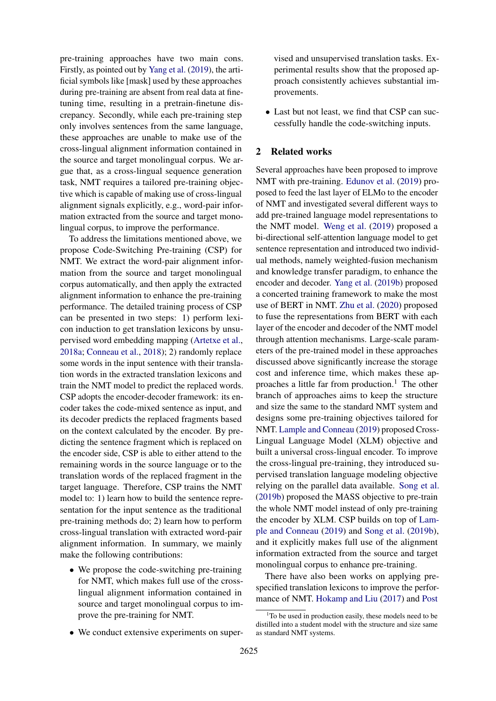pre-training approaches have two main cons. Firstly, as pointed out by [Yang et al.](#page-10-0) [\(2019\)](#page-10-0), the artificial symbols like [mask] used by these approaches during pre-training are absent from real data at finetuning time, resulting in a pretrain-finetune discrepancy. Secondly, while each pre-training step only involves sentences from the same language, these approaches are unable to make use of the cross-lingual alignment information contained in the source and target monolingual corpus. We argue that, as a cross-lingual sequence generation task, NMT requires a tailored pre-training objective which is capable of making use of cross-lingual alignment signals explicitly, e.g., word-pair information extracted from the source and target monolingual corpus, to improve the performance.

To address the limitations mentioned above, we propose Code-Switching Pre-training (CSP) for NMT. We extract the word-pair alignment information from the source and target monolingual corpus automatically, and then apply the extracted alignment information to enhance the pre-training performance. The detailed training process of CSP can be presented in two steps: 1) perform lexicon induction to get translation lexicons by unsupervised word embedding mapping [\(Artetxe et al.,](#page-8-8) [2018a;](#page-8-8) [Conneau et al.,](#page-8-9) [2018\)](#page-8-9); 2) randomly replace some words in the input sentence with their translation words in the extracted translation lexicons and train the NMT model to predict the replaced words. CSP adopts the encoder-decoder framework: its encoder takes the code-mixed sentence as input, and its decoder predicts the replaced fragments based on the context calculated by the encoder. By predicting the sentence fragment which is replaced on the encoder side, CSP is able to either attend to the remaining words in the source language or to the translation words of the replaced fragment in the target language. Therefore, CSP trains the NMT model to: 1) learn how to build the sentence representation for the input sentence as the traditional pre-training methods do; 2) learn how to perform cross-lingual translation with extracted word-pair alignment information. In summary, we mainly make the following contributions:

- We propose the code-switching pre-training for NMT, which makes full use of the crosslingual alignment information contained in source and target monolingual corpus to improve the pre-training for NMT.
- We conduct extensive experiments on super-

vised and unsupervised translation tasks. Experimental results show that the proposed approach consistently achieves substantial improvements.

• Last but not least, we find that CSP can successfully handle the code-switching inputs.

# 2 Related works

Several approaches have been proposed to improve NMT with pre-training. [Edunov et al.](#page-8-5) [\(2019\)](#page-8-5) proposed to feed the last layer of ELMo to the encoder of NMT and investigated several different ways to add pre-trained language model representations to the NMT model. [Weng et al.](#page-10-2) [\(2019\)](#page-10-2) proposed a bi-directional self-attention language model to get sentence representation and introduced two individual methods, namely weighted-fusion mechanism and knowledge transfer paradigm, to enhance the encoder and decoder. [Yang et al.](#page-10-1) [\(2019b\)](#page-10-1) proposed a concerted training framework to make the most use of BERT in NMT. [Zhu et al.](#page-10-3) [\(2020\)](#page-10-3) proposed to fuse the representations from BERT with each layer of the encoder and decoder of the NMT model through attention mechanisms. Large-scale parameters of the pre-trained model in these approaches discussed above significantly increase the storage cost and inference time, which makes these approaches a little far from production.<sup>1</sup> The other branch of approaches aims to keep the structure and size the same to the standard NMT system and designs some pre-training objectives tailored for NMT. [Lample and Conneau](#page-8-4) [\(2019\)](#page-8-4) proposed Cross-Lingual Language Model (XLM) objective and built a universal cross-lingual encoder. To improve the cross-lingual pre-training, they introduced supervised translation language modeling objective relying on the parallel data available. [Song et al.](#page-9-4) [\(2019b\)](#page-9-4) proposed the MASS objective to pre-train the whole NMT model instead of only pre-training the encoder by XLM. CSP builds on top of [Lam](#page-8-4)[ple and Conneau](#page-8-4) [\(2019\)](#page-8-4) and [Song et al.](#page-9-4) [\(2019b\)](#page-9-4), and it explicitly makes full use of the alignment information extracted from the source and target monolingual corpus to enhance pre-training.

There have also been works on applying prespecified translation lexicons to improve the performance of NMT. [Hokamp and Liu](#page-8-10) [\(2017\)](#page-8-10) and [Post](#page-9-9)

<sup>&</sup>lt;sup>1</sup>[To be used in production easily, these models need to be](#page-9-9) [distilled into a student model with the structure and size same](#page-9-9) [as standard NMT systems.](#page-9-9)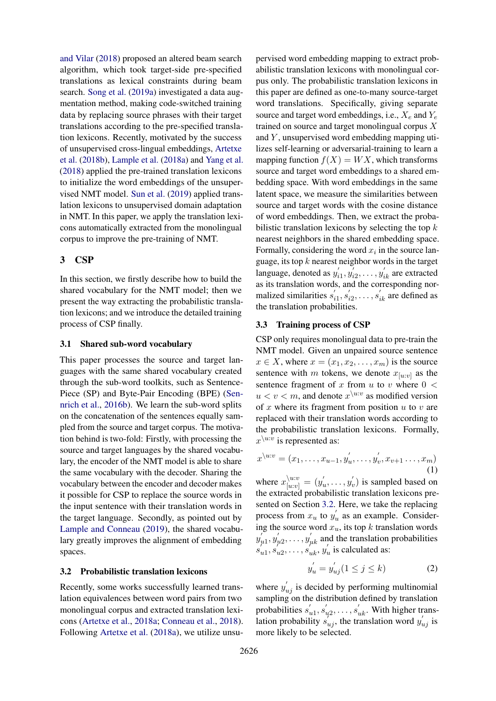[and Vilar](#page-9-9) [\(2018\)](#page-9-9) proposed an altered beam search algorithm, which took target-side pre-specified translations as lexical constraints during beam search. [Song et al.](#page-9-10) [\(2019a\)](#page-9-10) investigated a data augmentation method, making code-switched training data by replacing source phrases with their target translations according to the pre-specified translation lexicons. Recently, motivated by the success of unsupervised cross-lingual embeddings, [Artetxe](#page-8-11) [et al.](#page-8-11) [\(2018b\)](#page-8-11), [Lample et al.](#page-9-11) [\(2018a\)](#page-9-11) and [Yang et al.](#page-10-4) [\(2018\)](#page-10-4) applied the pre-trained translation lexicons to initialize the word embeddings of the unsupervised NMT model. [Sun et al.](#page-9-12) [\(2019\)](#page-9-12) applied translation lexicons to unsupervised domain adaptation in NMT. In this paper, we apply the translation lexicons automatically extracted from the monolingual corpus to improve the pre-training of NMT.

# 3 CSP

In this section, we firstly describe how to build the shared vocabulary for the NMT model; then we present the way extracting the probabilistic translation lexicons; and we introduce the detailed training process of CSP finally.

#### 3.1 Shared sub-word vocabulary

This paper processes the source and target languages with the same shared vocabulary created through the sub-word toolkits, such as Sentence-Piece (SP) and Byte-Pair Encoding (BPE) [\(Sen](#page-9-13)[nrich et al.,](#page-9-13) [2016b\)](#page-9-13). We learn the sub-word splits on the concatenation of the sentences equally sampled from the source and target corpus. The motivation behind is two-fold: Firstly, with processing the source and target languages by the shared vocabulary, the encoder of the NMT model is able to share the same vocabulary with the decoder. Sharing the vocabulary between the encoder and decoder makes it possible for CSP to replace the source words in the input sentence with their translation words in the target language. Secondly, as pointed out by [Lample and Conneau](#page-8-4) [\(2019\)](#page-8-4), the shared vocabulary greatly improves the alignment of embedding spaces.

### <span id="page-2-0"></span>3.2 Probabilistic translation lexicons

Recently, some works successfully learned translation equivalences between word pairs from two monolingual corpus and extracted translation lexicons [\(Artetxe et al.,](#page-8-8) [2018a;](#page-8-8) [Conneau et al.,](#page-8-9) [2018\)](#page-8-9). Following [Artetxe et al.](#page-8-8) [\(2018a\)](#page-8-8), we utilize unsupervised word embedding mapping to extract probabilistic translation lexicons with monolingual corpus only. The probabilistic translation lexicons in this paper are defined as one-to-many source-target word translations. Specifically, giving separate source and target word embeddings, i.e.,  $X_e$  and  $Y_e$ trained on source and target monolingual corpus X and  $Y$ , unsupervised word embedding mapping utilizes self-learning or adversarial-training to learn a mapping function  $f(X) = W X$ , which transforms source and target word embeddings to a shared embedding space. With word embeddings in the same latent space, we measure the similarities between source and target words with the cosine distance of word embeddings. Then, we extract the probabilistic translation lexicons by selecting the top  $k$ nearest neighbors in the shared embedding space. Formally, considering the word  $x_i$  in the source language, its top  $k$  nearest neighbor words in the target language, denoted as  $y_i'$  $y'_{i1}, y'_{i}$  $y'_{i2}, \ldots, y'_{ik}$  are extracted as its translation words, and the corresponding normalized similarities  $s'_{i}$  $i_1', s'_i$  $s'_{i2}, \ldots, s'_{ik}$  are defined as the translation probabilities.

## 3.3 Training process of CSP

CSP only requires monolingual data to pre-train the NMT model. Given an unpaired source sentence  $x \in X$ , where  $x = (x_1, x_2, \dots, x_m)$  is the source sentence with m tokens, we denote  $x_{[u:v]}$  as the sentence fragment of x from u to v where  $0 <$  $u < v < m$ , and denote  $x^{\setminus u:v}$  as modified version of x where its fragment from position  $u$  to  $v$  are replaced with their translation words according to the probabilistic translation lexicons. Formally,  $x^{\setminus u:v}$  is represented as:

$$
x^{\setminus u:v} = (x_1, \dots, x_{u-1}, y'_u, \dots, y'_v, x_{v+1} \dots, x_m)
$$
  
(1)

where  $x_{[u:v]}^{\setminus u:v} = (y_u', \dots, y_v')$  is sampled based on the extracted probabilistic translation lexicons presented on Section [3.2.](#page-2-0) Here, we take the replacing process from  $x_u$  to  $y'_u$  as an example. Considering the source word  $x_u$ , its top k translation words  $y'_{i}$  $y_{\mu 1}^{\prime },y_{\mu 1}^{\prime }$  $u'_\mu_2, \ldots, u'_{\mu k}$  and the translation probabilities  $s_i$  $\frac{1}{u_1}, \frac{s}{s}$  $\int_{u_2}^{u_2} \ldots \int_{u_k}^{u_k} y'_u$  is calculated as:

$$
y_u' = y_{uj}' (1 \le j \le k)
$$
 (2)

where  $y'_{uj}$  is decided by performing multinomial sampling on the distribution defined by translation probabilities  $s'_{i}$  $y_{u1}^{\prime}, s_{u2}^{\prime}$  $u_1, \ldots, s_{uk}$ . With higher translation probability  $s_{uj}^{\prime}$ , the translation word  $y_{uj}^{'}$  is more likely to be selected.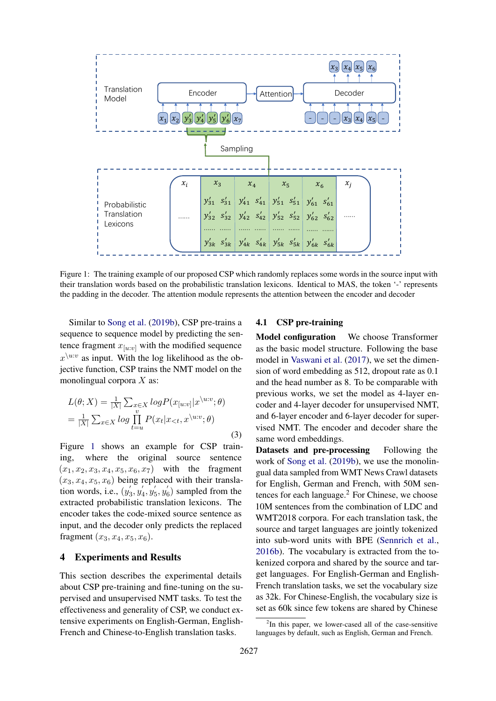<span id="page-3-0"></span>

Figure 1: The training example of our proposed CSP which randomly replaces some words in the source input with their translation words based on the probabilistic translation lexicons. Identical to MAS, the token '-' represents the padding in the decoder. The attention module represents the attention between the encoder and decoder

Similar to [Song et al.](#page-9-4) [\(2019b\)](#page-9-4), CSP pre-trains a sequence to sequence model by predicting the sentence fragment  $x_{[u:v]}$  with the modified sequence  $x^{\setminus u:v}$  as input. With the log likelihood as the objective function, CSP trains the NMT model on the monolingual corpora  $X$  as:

$$
L(\theta; X) = \frac{1}{|X|} \sum_{x \in X} logP(x_{[u:v]}|x^{\setminus u:v}; \theta)
$$
  
= 
$$
\frac{1}{|X|} \sum_{x \in X} log \prod_{t=u}^{v} P(x_t|x_{< t}, x^{\setminus u:v}; \theta)
$$
 (3)

Figure [1](#page-3-0) shows an example for CSP training, where the original source sentence  $(x_1, x_2, x_3, x_4, x_5, x_6, x_7)$  with the fragment  $(x_3, x_4, x_5, x_6)$  being replaced with their translation words, i.e.,  $(y_1)$  $y_{4}^{'}$  $y_4', y_5'$  $y'_{5}, y'_{6}$  $\mathbf{r}'_6$ ) sampled from the extracted probabilistic translation lexicons. The encoder takes the code-mixed source sentence as input, and the decoder only predicts the replaced fragment  $(x_3, x_4, x_5, x_6)$ .

#### 4 Experiments and Results

This section describes the experimental details about CSP pre-training and fine-tuning on the supervised and unsupervised NMT tasks. To test the effectiveness and generality of CSP, we conduct extensive experiments on English-German, English-French and Chinese-to-English translation tasks.

#### 4.1 CSP pre-training

Model configuration We choose Transformer as the basic model structure. Following the base model in [Vaswani et al.](#page-9-14) [\(2017\)](#page-9-14), we set the dimension of word embedding as 512, dropout rate as 0.1 and the head number as 8. To be comparable with previous works, we set the model as 4-layer encoder and 4-layer decoder for unsupervised NMT, and 6-layer encoder and 6-layer decoder for supervised NMT. The encoder and decoder share the same word embeddings.

Datasets and pre-processing Following the work of [Song et al.](#page-9-4) [\(2019b\)](#page-9-4), we use the monolingual data sampled from WMT News Crawl datasets for English, German and French, with 50M sentences for each language. $<sup>2</sup>$  For Chinese, we choose</sup> 10M sentences from the combination of LDC and WMT2018 corpora. For each translation task, the source and target languages are jointly tokenized into sub-word units with BPE [\(Sennrich et al.,](#page-9-13) [2016b\)](#page-9-13). The vocabulary is extracted from the tokenized corpora and shared by the source and target languages. For English-German and English-French translation tasks, we set the vocabulary size as 32k. For Chinese-English, the vocabulary size is set as 60k since few tokens are shared by Chinese

<sup>&</sup>lt;sup>2</sup>In this paper, we lower-cased all of the case-sensitive languages by default, such as English, German and French.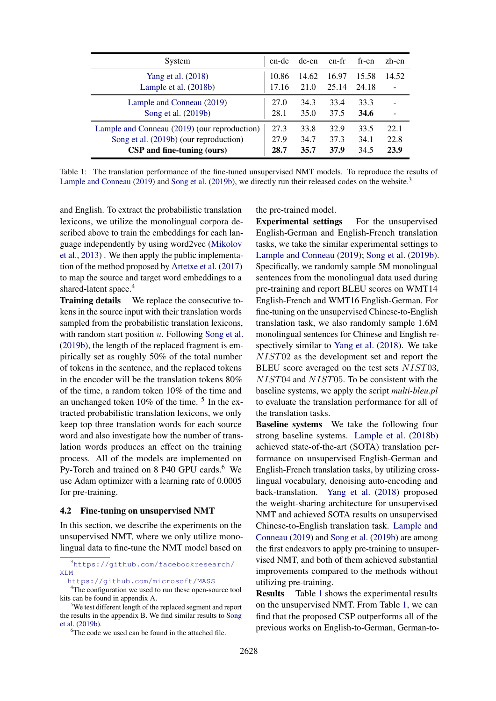<span id="page-4-0"></span>

| System                                       | en-de | de-en | en-fr | fr-en | zh-en |
|----------------------------------------------|-------|-------|-------|-------|-------|
| Yang et al. (2018)                           | 10.86 | 14.62 | 16.97 | 15.58 | 14.52 |
| Lample et al. (2018b)                        | 17.16 | 21.0  | 25.14 | 24.18 |       |
| Lample and Conneau (2019)                    | 27.0  | 34.3  | 33.4  | 33.3  |       |
| Song et al. (2019b)                          | 28.1  | 35.0  | 37.5  | 34.6  |       |
| Lample and Conneau (2019) (our reproduction) | 27.3  | 33.8  | 32.9  | 33.5  | 22.1  |
| Song et al. (2019b) (our reproduction)       | 27.9  | 34.7  | 37.3  | 34.1  | 22.8  |
| CSP and fine-tuning (ours)                   | 28.7  | 35.7  | 37.9  | 34.5  | 23.9  |

Table 1: The translation performance of the fine-tuned unsupervised NMT models. To reproduce the results of [Lample and Conneau](#page-8-4) [\(2019\)](#page-8-4) and [Song et al.](#page-9-4) [\(2019b\)](#page-9-4), we directly run their released codes on the website.<sup>3</sup>

and English. To extract the probabilistic translation lexicons, we utilize the monolingual corpora described above to train the embeddings for each language independently by using word2vec [\(Mikolov](#page-9-16) [et al.,](#page-9-16) [2013\)](#page-9-16) . We then apply the public implementation of the method proposed by [Artetxe et al.](#page-8-12) [\(2017\)](#page-8-12) to map the source and target word embeddings to a shared-latent space.<sup>4</sup>

Training details We replace the consecutive tokens in the source input with their translation words sampled from the probabilistic translation lexicons, with random start position  $u$ . Following [Song et al.](#page-9-4) [\(2019b\)](#page-9-4), the length of the replaced fragment is empirically set as roughly 50% of the total number of tokens in the sentence, and the replaced tokens in the encoder will be the translation tokens 80% of the time, a random token 10% of the time and an unchanged token  $10\%$  of the time.  $5$  In the extracted probabilistic translation lexicons, we only keep top three translation words for each source word and also investigate how the number of translation words produces an effect on the training process. All of the models are implemented on Py-Torch and trained on 8 P40 GPU cards.<sup>6</sup> We use Adam optimizer with a learning rate of 0.0005 for pre-training.

#### 4.2 Fine-tuning on unsupervised NMT

In this section, we describe the experiments on the unsupervised NMT, where we only utilize monolingual data to fine-tune the NMT model based on

<sup>3</sup>[https://github.com/facebookresearch/](https://github.com/facebookresearch/XLM) X<sub>T</sub>M

<sup>6</sup>The code we used can be found in the attached file.

2628

the pre-trained model.

Experimental settings For the unsupervised English-German and English-French translation tasks, we take the similar experimental settings to [Lample and Conneau](#page-8-4) [\(2019\)](#page-8-4); [Song et al.](#page-9-4) [\(2019b\)](#page-9-4). Specifically, we randomly sample 5M monolingual sentences from the monolingual data used during pre-training and report BLEU scores on WMT14 English-French and WMT16 English-German. For fine-tuning on the unsupervised Chinese-to-English translation task, we also randomly sample 1.6M monolingual sentences for Chinese and English respectively similar to [Yang et al.](#page-10-4) [\(2018\)](#page-10-4). We take NIST02 as the development set and report the BLEU score averaged on the test sets NIST03, NIST04 and NIST05. To be consistent with the baseline systems, we apply the script *multi-bleu.pl* to evaluate the translation performance for all of the translation tasks.

Baseline systems We take the following four strong baseline systems. [Lample et al.](#page-9-15) [\(2018b\)](#page-9-15) achieved state-of-the-art (SOTA) translation performance on unsupervised English-German and English-French translation tasks, by utilizing crosslingual vocabulary, denoising auto-encoding and back-translation. [Yang et al.](#page-10-4) [\(2018\)](#page-10-4) proposed the weight-sharing architecture for unsupervised NMT and achieved SOTA results on unsupervised Chinese-to-English translation task. [Lample and](#page-8-4) [Conneau](#page-8-4) [\(2019\)](#page-8-4) and [Song et al.](#page-9-4) [\(2019b\)](#page-9-4) are among the first endeavors to apply pre-training to unsupervised NMT, and both of them achieved substantial improvements compared to the methods without utilizing pre-training.

Results Table [1](#page-4-0) shows the experimental results on the unsupervised NMT. From Table [1,](#page-4-0) we can find that the proposed CSP outperforms all of the previous works on English-to-German, German-to-

<https://github.com/microsoft/MASS>

<sup>4</sup>The configuration we used to run these open-source tool kits can be found in appendix A.

<sup>5</sup>We test different length of the replaced segment and report the results in the appendix B. We find similar results to [Song](#page-9-4) [et al.](#page-9-4) [\(2019b\)](#page-9-4).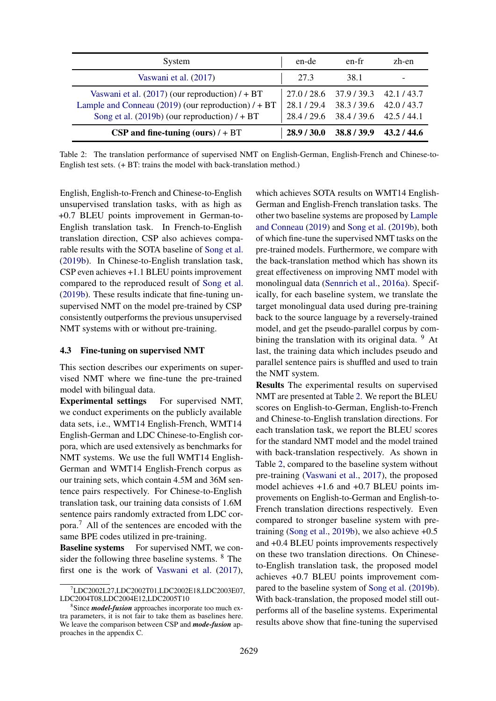<span id="page-5-0"></span>

| System                                                                                                                                                            | en-de       | en-fr                                                                                                             | zh-en |
|-------------------------------------------------------------------------------------------------------------------------------------------------------------------|-------------|-------------------------------------------------------------------------------------------------------------------|-------|
| Vaswani et al. (2017)                                                                                                                                             | 27.3        | 38.1                                                                                                              |       |
| Vaswani et al. $(2017)$ (our reproduction) $/ + BT$<br>Lample and Conneau $(2019)$ (our reproduction) $/ + BT$<br>Song et al. (2019b) (our reproduction) $/ + BT$ |             | 27.0 / 28.6 37.9 / 39.3 42.1 / 43.7<br>28.1 / 29.4 38.3 / 39.6 42.0 / 43.7<br>28.4 / 29.6 38.4 / 39.6 42.5 / 44.1 |       |
| CSP and fine-tuning (ours) $/ + BT$                                                                                                                               | 28.9 / 30.0 | $38.8 / 39.9$ 43.2/44.6                                                                                           |       |

Table 2: The translation performance of supervised NMT on English-German, English-French and Chinese-to-English test sets. (+ BT: trains the model with back-translation method.)

English, English-to-French and Chinese-to-English unsupervised translation tasks, with as high as +0.7 BLEU points improvement in German-to-English translation task. In French-to-English translation direction, CSP also achieves comparable results with the SOTA baseline of [Song et al.](#page-9-4) [\(2019b\)](#page-9-4). In Chinese-to-English translation task, CSP even achieves +1.1 BLEU points improvement compared to the reproduced result of [Song et al.](#page-9-4) [\(2019b\)](#page-9-4). These results indicate that fine-tuning unsupervised NMT on the model pre-trained by CSP consistently outperforms the previous unsupervised NMT systems with or without pre-training.

## <span id="page-5-1"></span>4.3 Fine-tuning on supervised NMT

This section describes our experiments on supervised NMT where we fine-tune the pre-trained model with bilingual data.

Experimental settings For supervised NMT, we conduct experiments on the publicly available data sets, i.e., WMT14 English-French, WMT14 English-German and LDC Chinese-to-English corpora, which are used extensively as benchmarks for NMT systems. We use the full WMT14 English-German and WMT14 English-French corpus as our training sets, which contain 4.5M and 36M sentence pairs respectively. For Chinese-to-English translation task, our training data consists of 1.6M sentence pairs randomly extracted from LDC corpora.<sup>7</sup> All of the sentences are encoded with the same BPE codes utilized in pre-training.

Baseline systems For supervised NMT, we consider the following three baseline systems. <sup>8</sup> The first one is the work of [Vaswani et al.](#page-9-14) [\(2017\)](#page-9-14), which achieves SOTA results on WMT14 English-German and English-French translation tasks. The other two baseline systems are proposed by [Lample](#page-8-4) [and Conneau](#page-8-4) [\(2019\)](#page-8-4) and [Song et al.](#page-9-4) [\(2019b\)](#page-9-4), both of which fine-tune the supervised NMT tasks on the pre-trained models. Furthermore, we compare with the back-translation method which has shown its great effectiveness on improving NMT model with monolingual data [\(Sennrich et al.,](#page-9-17) [2016a\)](#page-9-17). Specifically, for each baseline system, we translate the target monolingual data used during pre-training back to the source language by a reversely-trained model, and get the pseudo-parallel corpus by combining the translation with its original data.  $9$  At last, the training data which includes pseudo and parallel sentence pairs is shuffled and used to train the NMT system.

Results The experimental results on supervised NMT are presented at Table [2.](#page-5-0) We report the BLEU scores on English-to-German, English-to-French and Chinese-to-English translation directions. For each translation task, we report the BLEU scores for the standard NMT model and the model trained with back-translation respectively. As shown in Table [2,](#page-5-0) compared to the baseline system without pre-training [\(Vaswani et al.,](#page-9-14) [2017\)](#page-9-14), the proposed model achieves +1.6 and +0.7 BLEU points improvements on English-to-German and English-to-French translation directions respectively. Even compared to stronger baseline system with pretraining [\(Song et al.,](#page-9-4) [2019b\)](#page-9-4), we also achieve +0.5 and +0.4 BLEU points improvements respectively on these two translation directions. On Chineseto-English translation task, the proposed model achieves +0.7 BLEU points improvement compared to the baseline system of [Song et al.](#page-9-4) [\(2019b\)](#page-9-4). With back-translation, the proposed model still outperforms all of the baseline systems. Experimental results above show that fine-tuning the supervised

<sup>7</sup>LDC2002L27,LDC2002T01,LDC2002E18,LDC2003E07, LDC2004T08,LDC2004E12,LDC2005T10

<sup>8</sup> Since *model-fusion* approaches incorporate too much extra parameters, it is not fair to take them as baselines here. We leave the comparison between CSP and *mode-fusion* approaches in the appendix C.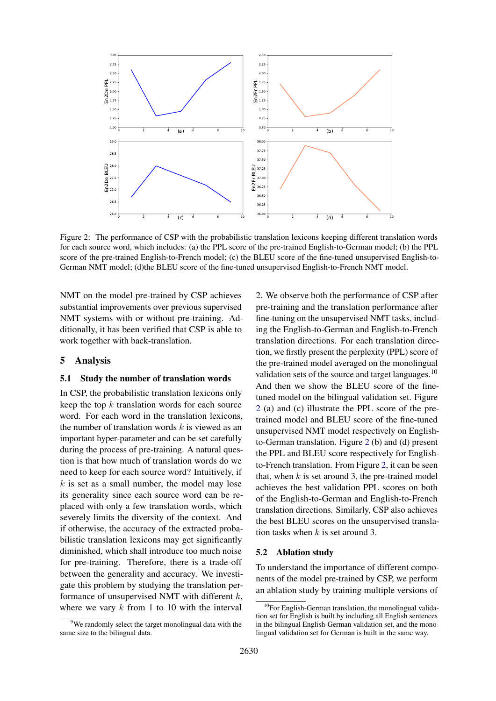<span id="page-6-0"></span>

Figure 2: The performance of CSP with the probabilistic translation lexicons keeping different translation words for each source word, which includes: (a) the PPL score of the pre-trained English-to-German model; (b) the PPL score of the pre-trained English-to-French model; (c) the BLEU score of the fine-tuned unsupervised English-to-German NMT model; (d)the BLEU score of the fine-tuned unsupervised English-to-French NMT model.

NMT on the model pre-trained by CSP achieves substantial improvements over previous supervised NMT systems with or without pre-training. Additionally, it has been verified that CSP is able to work together with back-translation.

## 5 Analysis

## 5.1 Study the number of translation words

In CSP, the probabilistic translation lexicons only keep the top  $k$  translation words for each source word. For each word in the translation lexicons, the number of translation words  $k$  is viewed as an important hyper-parameter and can be set carefully during the process of pre-training. A natural question is that how much of translation words do we need to keep for each source word? Intuitively, if  $k$  is set as a small number, the model may lose its generality since each source word can be replaced with only a few translation words, which severely limits the diversity of the context. And if otherwise, the accuracy of the extracted probabilistic translation lexicons may get significantly diminished, which shall introduce too much noise for pre-training. Therefore, there is a trade-off between the generality and accuracy. We investigate this problem by studying the translation performance of unsupervised NMT with different  $k$ , where we vary  $k$  from 1 to 10 with the interval 2. We observe both the performance of CSP after pre-training and the translation performance after fine-tuning on the unsupervised NMT tasks, including the English-to-German and English-to-French translation directions. For each translation direction, we firstly present the perplexity (PPL) score of the pre-trained model averaged on the monolingual validation sets of the source and target languages.<sup>10</sup> And then we show the BLEU score of the finetuned model on the bilingual validation set. Figure [2](#page-6-0) (a) and (c) illustrate the PPL score of the pretrained model and BLEU score of the fine-tuned unsupervised NMT model respectively on Englishto-German translation. Figure [2](#page-6-0) (b) and (d) present the PPL and BLEU score respectively for Englishto-French translation. From Figure [2,](#page-6-0) it can be seen that, when  $k$  is set around 3, the pre-trained model achieves the best validation PPL scores on both of the English-to-German and English-to-French translation directions. Similarly, CSP also achieves the best BLEU scores on the unsupervised translation tasks when  $k$  is set around 3.

#### 5.2 Ablation study

To understand the importance of different components of the model pre-trained by CSP, we perform an ablation study by training multiple versions of

<sup>&</sup>lt;sup>9</sup>We randomly select the target monolingual data with the same size to the bilingual data.

 $10$ For English-German translation, the monolingual validation set for English is built by including all English sentences in the bilingual English-German validation set, and the monolingual validation set for German is built in the same way.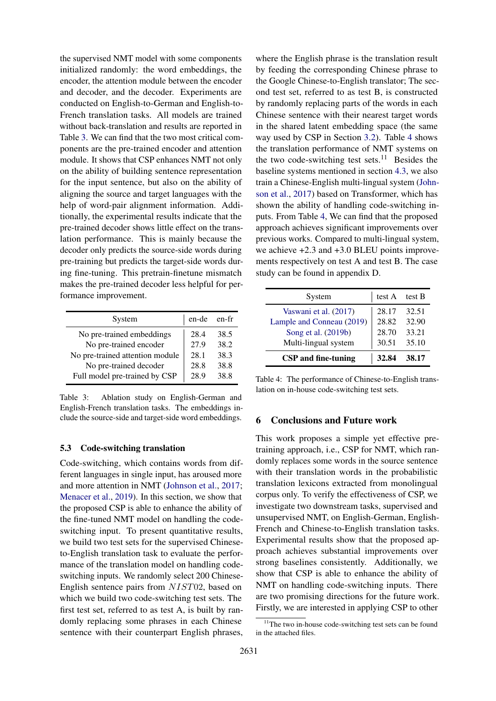the supervised NMT model with some components initialized randomly: the word embeddings, the encoder, the attention module between the encoder and decoder, and the decoder. Experiments are conducted on English-to-German and English-to-French translation tasks. All models are trained without back-translation and results are reported in Table [3.](#page-7-0) We can find that the two most critical components are the pre-trained encoder and attention module. It shows that CSP enhances NMT not only on the ability of building sentence representation for the input sentence, but also on the ability of aligning the source and target languages with the help of word-pair alignment information. Additionally, the experimental results indicate that the pre-trained decoder shows little effect on the translation performance. This is mainly because the decoder only predicts the source-side words during pre-training but predicts the target-side words during fine-tuning. This pretrain-finetune mismatch makes the pre-trained decoder less helpful for performance improvement.

<span id="page-7-0"></span>

| System                          | en-de | en-fr |
|---------------------------------|-------|-------|
| No pre-trained embeddings       | 28.4  | 38.5  |
| No pre-trained encoder          | 27.9  | 38.2  |
| No pre-trained attention module | 28.1  | 38.3  |
| No pre-trained decoder          | 28.8  | 38.8  |
| Full model pre-trained by CSP   | 28.9  | 38.8  |

Table 3: Ablation study on English-German and English-French translation tasks. The embeddings include the source-side and target-side word embeddings.

#### 5.3 Code-switching translation

Code-switching, which contains words from different languages in single input, has aroused more and more attention in NMT [\(Johnson et al.,](#page-8-13) [2017;](#page-8-13) [Menacer et al.,](#page-9-18) [2019\)](#page-9-18). In this section, we show that the proposed CSP is able to enhance the ability of the fine-tuned NMT model on handling the codeswitching input. To present quantitative results, we build two test sets for the supervised Chineseto-English translation task to evaluate the performance of the translation model on handling codeswitching inputs. We randomly select 200 Chinese-English sentence pairs from NIST02, based on which we build two code-switching test sets. The first test set, referred to as test A, is built by randomly replacing some phrases in each Chinese sentence with their counterpart English phrases, where the English phrase is the translation result by feeding the corresponding Chinese phrase to the Google Chinese-to-English translator; The second test set, referred to as test B, is constructed by randomly replacing parts of the words in each Chinese sentence with their nearest target words in the shared latent embedding space (the same way used by CSP in Section [3.2\)](#page-2-0). Table [4](#page-7-1) shows the translation performance of NMT systems on the two code-switching test sets.<sup>11</sup> Besides the baseline systems mentioned in section [4.3,](#page-5-1) we also train a Chinese-English multi-lingual system [\(John](#page-8-13)[son et al.,](#page-8-13) [2017\)](#page-8-13) based on Transformer, which has shown the ability of handling code-switching inputs. From Table [4,](#page-7-1) We can find that the proposed approach achieves significant improvements over previous works. Compared to multi-lingual system, we achieve +2.3 and +3.0 BLEU points improvements respectively on test A and test B. The case study can be found in appendix D.

<span id="page-7-1"></span>

| System                     | test A | test B |
|----------------------------|--------|--------|
| Vaswani et al. (2017)      | 28.17  | 32.51  |
| Lample and Conneau (2019)  | 28.82  | 32.90  |
| Song et al. (2019b)        | 28.70  | 33.21  |
| Multi-lingual system       | 30.51  | 35.10  |
| <b>CSP</b> and fine-tuning | 32.84  | 38.17  |

Table 4: The performance of Chinese-to-English translation on in-house code-switching test sets.

#### 6 Conclusions and Future work

This work proposes a simple yet effective pretraining approach, i.e., CSP for NMT, which randomly replaces some words in the source sentence with their translation words in the probabilistic translation lexicons extracted from monolingual corpus only. To verify the effectiveness of CSP, we investigate two downstream tasks, supervised and unsupervised NMT, on English-German, English-French and Chinese-to-English translation tasks. Experimental results show that the proposed approach achieves substantial improvements over strong baselines consistently. Additionally, we show that CSP is able to enhance the ability of NMT on handling code-switching inputs. There are two promising directions for the future work. Firstly, we are interested in applying CSP to other

 $11$ The two in-house code-switching test sets can be found in the attached files.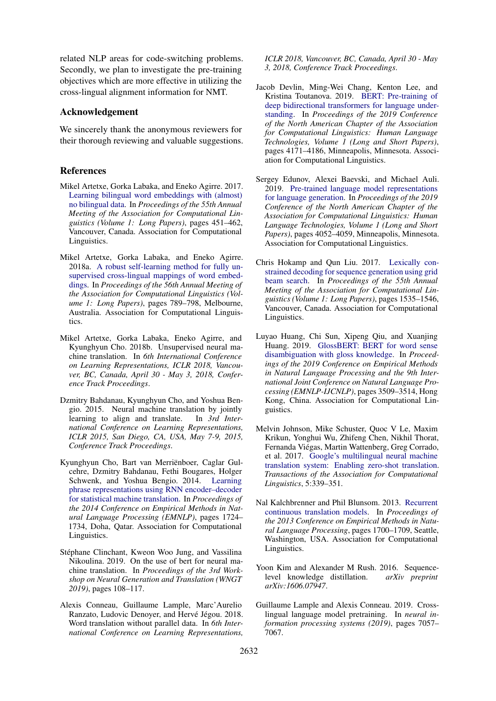related NLP areas for code-switching problems. Secondly, we plan to investigate the pre-training objectives which are more effective in utilizing the cross-lingual alignment information for NMT.

#### Acknowledgement

We sincerely thank the anonymous reviewers for their thorough reviewing and valuable suggestions.

### References

- <span id="page-8-12"></span>Mikel Artetxe, Gorka Labaka, and Eneko Agirre. 2017. [Learning bilingual word embeddings with \(almost\)](https://doi.org/10.18653/v1/P17-1042) [no bilingual data.](https://doi.org/10.18653/v1/P17-1042) In *Proceedings of the 55th Annual Meeting of the Association for Computational Linguistics (Volume 1: Long Papers)*, pages 451–462, Vancouver, Canada. Association for Computational Linguistics.
- <span id="page-8-8"></span>Mikel Artetxe, Gorka Labaka, and Eneko Agirre. 2018a. [A robust self-learning method for fully un](https://doi.org/10.18653/v1/P18-1073)[supervised cross-lingual mappings of word embed](https://doi.org/10.18653/v1/P18-1073)[dings.](https://doi.org/10.18653/v1/P18-1073) In *Proceedings of the 56th Annual Meeting of the Association for Computational Linguistics (Volume 1: Long Papers)*, pages 789–798, Melbourne, Australia. Association for Computational Linguistics.
- <span id="page-8-11"></span>Mikel Artetxe, Gorka Labaka, Eneko Agirre, and Kyunghyun Cho. 2018b. Unsupervised neural machine translation. In *6th International Conference on Learning Representations, ICLR 2018, Vancouver, BC, Canada, April 30 - May 3, 2018, Conference Track Proceedings*.
- <span id="page-8-2"></span>Dzmitry Bahdanau, Kyunghyun Cho, and Yoshua Bengio. 2015. Neural machine translation by jointly learning to align and translate. In *3rd International Conference on Learning Representations, ICLR 2015, San Diego, CA, USA, May 7-9, 2015, Conference Track Proceedings*.
- <span id="page-8-1"></span>Kyunghyun Cho, Bart van Merrienboer, Caglar Gul- ¨ cehre, Dzmitry Bahdanau, Fethi Bougares, Holger Schwenk, and Yoshua Bengio. 2014. [Learning](https://doi.org/10.3115/v1/D14-1179) [phrase representations using RNN encoder–decoder](https://doi.org/10.3115/v1/D14-1179) [for statistical machine translation.](https://doi.org/10.3115/v1/D14-1179) In *Proceedings of the 2014 Conference on Empirical Methods in Natural Language Processing (EMNLP)*, pages 1724– 1734, Doha, Qatar. Association for Computational Linguistics.
- <span id="page-8-7"></span>Stéphane Clinchant, Kweon Woo Jung, and Vassilina Nikoulina. 2019. On the use of bert for neural machine translation. In *Proceedings of the 3rd Workshop on Neural Generation and Translation (WNGT 2019)*, pages 108–117.
- <span id="page-8-9"></span>Alexis Conneau, Guillaume Lample, Marc'Aurelio Ranzato, Ludovic Denoyer, and Hervé Jégou. 2018. Word translation without parallel data. In *6th International Conference on Learning Representations,*

*ICLR 2018, Vancouver, BC, Canada, April 30 - May 3, 2018, Conference Track Proceedings*.

- <span id="page-8-3"></span>Jacob Devlin, Ming-Wei Chang, Kenton Lee, and Kristina Toutanova. 2019. [BERT: Pre-training of](https://doi.org/10.18653/v1/N19-1423) [deep bidirectional transformers for language under](https://doi.org/10.18653/v1/N19-1423)[standing.](https://doi.org/10.18653/v1/N19-1423) In *Proceedings of the 2019 Conference of the North American Chapter of the Association for Computational Linguistics: Human Language Technologies, Volume 1 (Long and Short Papers)*, pages 4171–4186, Minneapolis, Minnesota. Association for Computational Linguistics.
- <span id="page-8-5"></span>Sergey Edunov, Alexei Baevski, and Michael Auli. 2019. [Pre-trained language model representations](https://doi.org/10.18653/v1/N19-1409) [for language generation.](https://doi.org/10.18653/v1/N19-1409) In *Proceedings of the 2019 Conference of the North American Chapter of the Association for Computational Linguistics: Human Language Technologies, Volume 1 (Long and Short Papers)*, pages 4052–4059, Minneapolis, Minnesota. Association for Computational Linguistics.
- <span id="page-8-10"></span>Chris Hokamp and Qun Liu. 2017. [Lexically con](https://doi.org/10.18653/v1/P17-1141)[strained decoding for sequence generation using grid](https://doi.org/10.18653/v1/P17-1141) [beam search.](https://doi.org/10.18653/v1/P17-1141) In *Proceedings of the 55th Annual Meeting of the Association for Computational Linguistics (Volume 1: Long Papers)*, pages 1535–1546, Vancouver, Canada. Association for Computational Linguistics.
- <span id="page-8-6"></span>Luyao Huang, Chi Sun, Xipeng Qiu, and Xuanjing Huang. 2019. [GlossBERT: BERT for word sense](https://doi.org/10.18653/v1/D19-1355) [disambiguation with gloss knowledge.](https://doi.org/10.18653/v1/D19-1355) In *Proceedings of the 2019 Conference on Empirical Methods in Natural Language Processing and the 9th International Joint Conference on Natural Language Processing (EMNLP-IJCNLP)*, pages 3509–3514, Hong Kong, China. Association for Computational Linguistics.
- <span id="page-8-13"></span>Melvin Johnson, Mike Schuster, Quoc V Le, Maxim Krikun, Yonghui Wu, Zhifeng Chen, Nikhil Thorat, Fernanda Viegas, Martin Wattenberg, Greg Corrado, ´ et al. 2017. [Google's multilingual neural machine](https://www.aclweb.org/anthology/D19-1355.pdf) [translation system: Enabling zero-shot translation.](https://www.aclweb.org/anthology/D19-1355.pdf) *Transactions of the Association for Computational Linguistics*, 5:339–351.
- <span id="page-8-0"></span>Nal Kalchbrenner and Phil Blunsom. 2013. [Recurrent](https://www.aclweb.org/anthology/D13-1176) [continuous translation models.](https://www.aclweb.org/anthology/D13-1176) In *Proceedings of the 2013 Conference on Empirical Methods in Natural Language Processing*, pages 1700–1709, Seattle, Washington, USA. Association for Computational Linguistics.
- <span id="page-8-14"></span>Yoon Kim and Alexander M Rush. 2016. Sequence-<br>level knowledge distillation. *arXiv preprint* level knowledge distillation. *arXiv:1606.07947*.
- <span id="page-8-4"></span>Guillaume Lample and Alexis Conneau. 2019. Crosslingual language model pretraining. In *neural information processing systems (2019)*, pages 7057– 7067.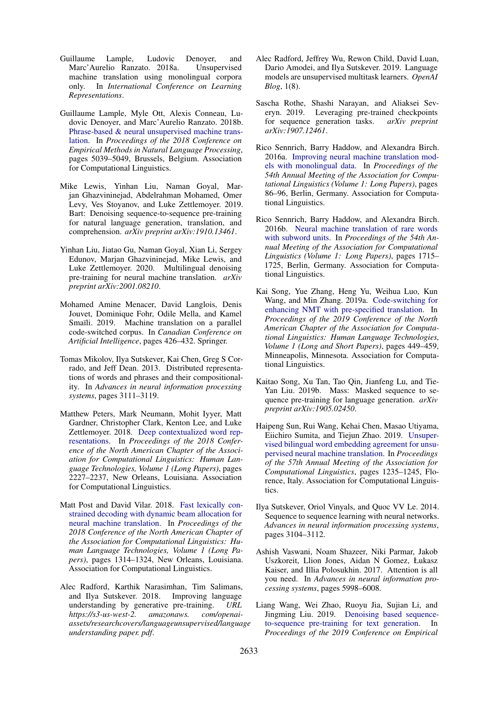- <span id="page-9-11"></span>Guillaume Lample, Ludovic Denoyer, and Marc'Aurelio Ranzato. 2018a. Unsupervised machine translation using monolingual corpora only. In *International Conference on Learning Representations*.
- <span id="page-9-15"></span>Guillaume Lample, Myle Ott, Alexis Conneau, Ludovic Denoyer, and Marc'Aurelio Ranzato. 2018b. [Phrase-based & neural unsupervised machine trans](https://doi.org/10.18653/v1/D18-1549)[lation.](https://doi.org/10.18653/v1/D18-1549) In *Proceedings of the 2018 Conference on Empirical Methods in Natural Language Processing*, pages 5039–5049, Brussels, Belgium. Association for Computational Linguistics.
- <span id="page-9-7"></span>Mike Lewis, Yinhan Liu, Naman Goyal, Marjan Ghazvininejad, Abdelrahman Mohamed, Omer Levy, Ves Stoyanov, and Luke Zettlemoyer. 2019. Bart: Denoising sequence-to-sequence pre-training for natural language generation, translation, and comprehension. *arXiv preprint arXiv:1910.13461*.
- <span id="page-9-8"></span>Yinhan Liu, Jiatao Gu, Naman Goyal, Xian Li, Sergey Edunov, Marjan Ghazvininejad, Mike Lewis, and Luke Zettlemoyer. 2020. Multilingual denoising pre-training for neural machine translation. *arXiv preprint arXiv:2001.08210*.
- <span id="page-9-18"></span>Mohamed Amine Menacer, David Langlois, Denis Jouvet, Dominique Fohr, Odile Mella, and Kamel Smaïli. 2019. Machine translation on a parallel code-switched corpus. In *Canadian Conference on Artificial Intelligence*, pages 426–432. Springer.
- <span id="page-9-16"></span>Tomas Mikolov, Ilya Sutskever, Kai Chen, Greg S Corrado, and Jeff Dean. 2013. Distributed representations of words and phrases and their compositionality. In *Advances in neural information processing systems*, pages 3111–3119.
- <span id="page-9-1"></span>Matthew Peters, Mark Neumann, Mohit Iyyer, Matt Gardner, Christopher Clark, Kenton Lee, and Luke Zettlemoyer. 2018. [Deep contextualized word rep](https://doi.org/10.18653/v1/N18-1202)[resentations.](https://doi.org/10.18653/v1/N18-1202) In *Proceedings of the 2018 Conference of the North American Chapter of the Association for Computational Linguistics: Human Language Technologies, Volume 1 (Long Papers)*, pages 2227–2237, New Orleans, Louisiana. Association for Computational Linguistics.
- <span id="page-9-9"></span>Matt Post and David Vilar. 2018. [Fast lexically con](https://doi.org/10.18653/v1/N18-1119)[strained decoding with dynamic beam allocation for](https://doi.org/10.18653/v1/N18-1119) [neural machine translation.](https://doi.org/10.18653/v1/N18-1119) In *Proceedings of the 2018 Conference of the North American Chapter of the Association for Computational Linguistics: Human Language Technologies, Volume 1 (Long Papers)*, pages 1314–1324, New Orleans, Louisiana. Association for Computational Linguistics.
- <span id="page-9-2"></span>Alec Radford, Karthik Narasimhan, Tim Salimans, and Ilya Sutskever. 2018. Improving language understanding by generative pre-training. *URL*<br>https://s3-us-west-2. amazonaws. com/openai*https://s3-us-west-2. amazonaws. com/openaiassets/researchcovers/languageunsupervised/language understanding paper. pdf*.
- <span id="page-9-3"></span>Alec Radford, Jeffrey Wu, Rewon Child, David Luan, Dario Amodei, and Ilya Sutskever. 2019. Language models are unsupervised multitask learners. *OpenAI Blog*, 1(8).
- <span id="page-9-6"></span>Sascha Rothe, Shashi Narayan, and Aliaksei Severyn. 2019. Leveraging pre-trained checkpoints for sequence generation tasks. *arXiv preprint arXiv:1907.12461*.
- <span id="page-9-17"></span>Rico Sennrich, Barry Haddow, and Alexandra Birch. 2016a. [Improving neural machine translation mod](https://doi.org/10.18653/v1/P16-1009)[els with monolingual data.](https://doi.org/10.18653/v1/P16-1009) In *Proceedings of the 54th Annual Meeting of the Association for Computational Linguistics (Volume 1: Long Papers)*, pages 86–96, Berlin, Germany. Association for Computational Linguistics.
- <span id="page-9-13"></span>Rico Sennrich, Barry Haddow, and Alexandra Birch. 2016b. [Neural machine translation of rare words](https://doi.org/10.18653/v1/P16-1162) [with subword units.](https://doi.org/10.18653/v1/P16-1162) In *Proceedings of the 54th Annual Meeting of the Association for Computational Linguistics (Volume 1: Long Papers)*, pages 1715– 1725, Berlin, Germany. Association for Computational Linguistics.
- <span id="page-9-10"></span>Kai Song, Yue Zhang, Heng Yu, Weihua Luo, Kun Wang, and Min Zhang. 2019a. [Code-switching for](https://doi.org/10.18653/v1/N19-1044) [enhancing NMT with pre-specified translation.](https://doi.org/10.18653/v1/N19-1044) In *Proceedings of the 2019 Conference of the North American Chapter of the Association for Computational Linguistics: Human Language Technologies, Volume 1 (Long and Short Papers)*, pages 449–459, Minneapolis, Minnesota. Association for Computational Linguistics.
- <span id="page-9-4"></span>Kaitao Song, Xu Tan, Tao Qin, Jianfeng Lu, and Tie-Yan Liu. 2019b. Mass: Masked sequence to sequence pre-training for language generation. *arXiv preprint arXiv:1905.02450*.
- <span id="page-9-12"></span>Haipeng Sun, Rui Wang, Kehai Chen, Masao Utiyama, Eiichiro Sumita, and Tiejun Zhao. 2019. [Unsuper](https://doi.org/10.18653/v1/P19-1119)[vised bilingual word embedding agreement for unsu](https://doi.org/10.18653/v1/P19-1119)[pervised neural machine translation.](https://doi.org/10.18653/v1/P19-1119) In *Proceedings of the 57th Annual Meeting of the Association for Computational Linguistics*, pages 1235–1245, Florence, Italy. Association for Computational Linguistics.
- <span id="page-9-0"></span>Ilya Sutskever, Oriol Vinyals, and Quoc VV Le. 2014. Sequence to sequence learning with neural networks. *Advances in neural information processing systems*, pages 3104–3112.
- <span id="page-9-14"></span>Ashish Vaswani, Noam Shazeer, Niki Parmar, Jakob Uszkoreit, Llion Jones, Aidan N Gomez, Łukasz Kaiser, and Illia Polosukhin. 2017. Attention is all you need. In *Advances in neural information processing systems*, pages 5998–6008.
- <span id="page-9-5"></span>Liang Wang, Wei Zhao, Ruoyu Jia, Sujian Li, and Jingming Liu. 2019. [Denoising based sequence](https://doi.org/10.18653/v1/D19-1412)[to-sequence pre-training for text generation.](https://doi.org/10.18653/v1/D19-1412) In *Proceedings of the 2019 Conference on Empirical*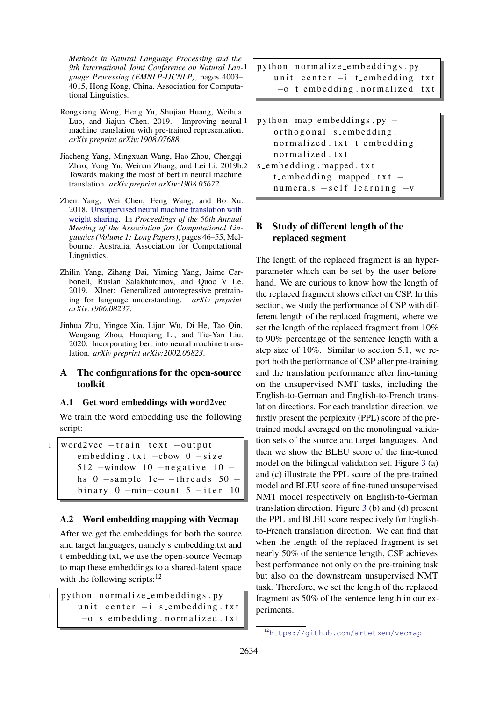*Methods in Natural Language Processing and the 9th International Joint Conference on Natural Language Processing (EMNLP-IJCNLP)*, pages 4003– 4015, Hong Kong, China. Association for Computational Linguistics.

- <span id="page-10-2"></span>Rongxiang Weng, Heng Yu, Shujian Huang, Weihua Luo, and Jiajun Chen. 2019. Improving neural 1 machine translation with pre-trained representation. *arXiv preprint arXiv:1908.07688*.
- <span id="page-10-1"></span>Jiacheng Yang, Mingxuan Wang, Hao Zhou, Chengqi Zhao, Yong Yu, Weinan Zhang, and Lei Li. 2019b. Towards making the most of bert in neural machine translation. *arXiv preprint arXiv:1908.05672*.
- <span id="page-10-4"></span>Zhen Yang, Wei Chen, Feng Wang, and Bo Xu. 2018. [Unsupervised neural machine translation with](https://doi.org/10.18653/v1/P18-1005) [weight sharing.](https://doi.org/10.18653/v1/P18-1005) In *Proceedings of the 56th Annual Meeting of the Association for Computational Linguistics (Volume 1: Long Papers)*, pages 46–55, Melbourne, Australia. Association for Computational Linguistics.
- <span id="page-10-0"></span>Zhilin Yang, Zihang Dai, Yiming Yang, Jaime Carbonell, Ruslan Salakhutdinov, and Quoc V Le. 2019. Xlnet: Generalized autoregressive pretraining for language understanding. *arXiv preprint arXiv:1906.08237*.
- <span id="page-10-3"></span>Jinhua Zhu, Yingce Xia, Lijun Wu, Di He, Tao Qin, Wengang Zhou, Houqiang Li, and Tie-Yan Liu. 2020. Incorporating bert into neural machine translation. *arXiv preprint arXiv:2002.06823*.

# A The configurations for the open-source toolkit

# A.1 Get word embeddings with word2vec

We train the word embedding use the following script:

```
1 word2vec −train text −output
     embedding . txt -cbow 0 -size512 -window 10 -negative 10 -
     hs 0 -sample 1e-threads 50 -
     binary 0 -min-count 5 -iter 10
```
# A.2 Word embedding mapping with Vecmap

After we get the embeddings for both the source and target languages, namely s\_embedding.txt and t embedding.txt, we use the open-source Vecmap to map these embeddings to a shared-latent space with the following scripts: $12$ 

 $1$  python normalize embeddings. py unit center  $-i$  s embedding . txt  $-$ o s  $-$ embedding . normalized . txt python normalize\_embeddings.py unit center  $-i$  t\_embedding.txt −o t em b e d di n g . n o r m ali z e d . t x t

```
python map embeddings . py -orthogonal s_embedding.
   normalized.txt t_embedding.
   normalized, txt
s embedding . mapped . txt
   t embedding . mapped . txt –
   numerals -self\_learning -v
```
# B Study of different length of the replaced segment

The length of the replaced fragment is an hyperparameter which can be set by the user beforehand. We are curious to know how the length of the replaced fragment shows effect on CSP. In this section, we study the performance of CSP with different length of the replaced fragment, where we set the length of the replaced fragment from 10% to 90% percentage of the sentence length with a step size of 10%. Similar to section 5.1, we report both the performance of CSP after pre-training and the translation performance after fine-tuning on the unsupervised NMT tasks, including the English-to-German and English-to-French translation directions. For each translation direction, we firstly present the perplexity (PPL) score of the pretrained model averaged on the monolingual validation sets of the source and target languages. And then we show the BLEU score of the fine-tuned model on the bilingual validation set. Figure [3](#page-11-0) (a) and (c) illustrate the PPL score of the pre-trained model and BLEU score of fine-tuned unsupervised NMT model respectively on English-to-German translation direction. Figure [3](#page-11-0) (b) and (d) present the PPL and BLEU score respectively for Englishto-French translation direction. We can find that when the length of the replaced fragment is set nearly 50% of the sentence length, CSP achieves best performance not only on the pre-training task but also on the downstream unsupervised NMT task. Therefore, we set the length of the replaced fragment as 50% of the sentence length in our experiments.

<sup>12</sup><https://github.com/artetxem/vecmap>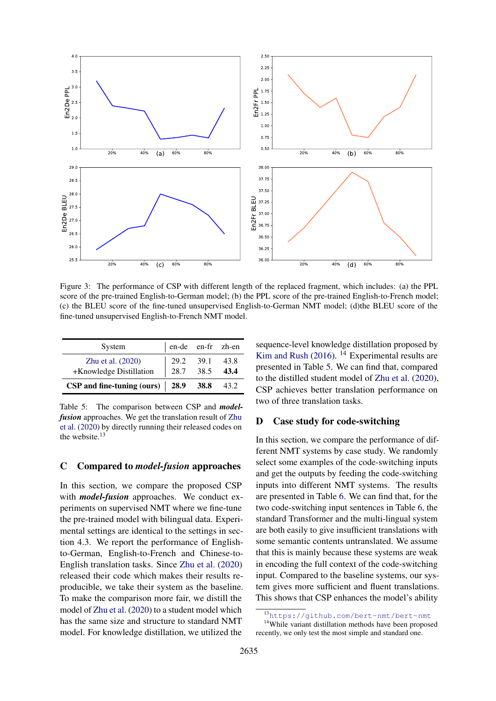<span id="page-11-0"></span>

Figure 3: The performance of CSP with different length of the replaced fragment, which includes: (a) the PPL score of the pre-trained English-to-German model; (b) the PPL score of the pre-trained English-to-French model; (c) the BLEU score of the fine-tuned unsupervised English-to-German NMT model; (d)the BLEU score of the fine-tuned unsupervised English-to-French NMT model.

<span id="page-11-1"></span>

| System                                                                 | en-de en-fr zh-en |                                  |      |
|------------------------------------------------------------------------|-------------------|----------------------------------|------|
| Zhu et al. (2020)<br>+Knowledge Distillation                           |                   | 29.2 39.1 43.8<br>28.7 38.5 43.4 |      |
| CSP and fine-tuning (ours) $\begin{array}{ l} 28.9 & 38.8 \end{array}$ |                   |                                  | 43.2 |

Table 5: The comparison between CSP and *modelfusion* approaches. We get the translation result of [Zhu](#page-10-3) [et al.](#page-10-3) [\(2020\)](#page-10-3) by directly running their released codes on the website.<sup>13</sup>

#### C Compared to *model-fusion* approaches

In this section, we compare the proposed CSP with *model-fusion* approaches. We conduct experiments on supervised NMT where we fine-tune the pre-trained model with bilingual data. Experimental settings are identical to the settings in section 4.3. We report the performance of Englishto-German, English-to-French and Chinese-to-English translation tasks. Since [Zhu et al.](#page-10-3) [\(2020\)](#page-10-3) released their code which makes their results reproducible, we take their system as the baseline. To make the comparison more fair, we distill the model of [Zhu et al.](#page-10-3) [\(2020\)](#page-10-3) to a student model which has the same size and structure to standard NMT model. For knowledge distillation, we utilized the

sequence-level knowledge distillation proposed by [Kim and Rush](#page-8-14) [\(2016\)](#page-8-14).  $^{14}$  Experimental results are presented in Table [5.](#page-11-1) We can find that, compared to the distilled student model of [Zhu et al.](#page-10-3) [\(2020\)](#page-10-3), CSP achieves better translation performance on two of three translation tasks.

#### D Case study for code-switching

In this section, we compare the performance of different NMT systems by case study. We randomly select some examples of the code-switching inputs and get the outputs by feeding the code-switching inputs into different NMT systems. The results are presented in Table [6.](#page-12-0) We can find that, for the two code-switching input sentences in Table [6,](#page-12-0) the standard Transformer and the multi-lingual system are both easily to give insufficient translations with some semantic contents untranslated. We assume that this is mainly because these systems are weak in encoding the full context of the code-switching input. Compared to the baseline systems, our system gives more sufficient and fluent translations. This shows that CSP enhances the model's ability

<sup>13</sup><https://github.com/bert-nmt/bert-nmt>

<sup>&</sup>lt;sup>14</sup>While variant distillation methods have been proposed recently, we only test the most simple and standard one.